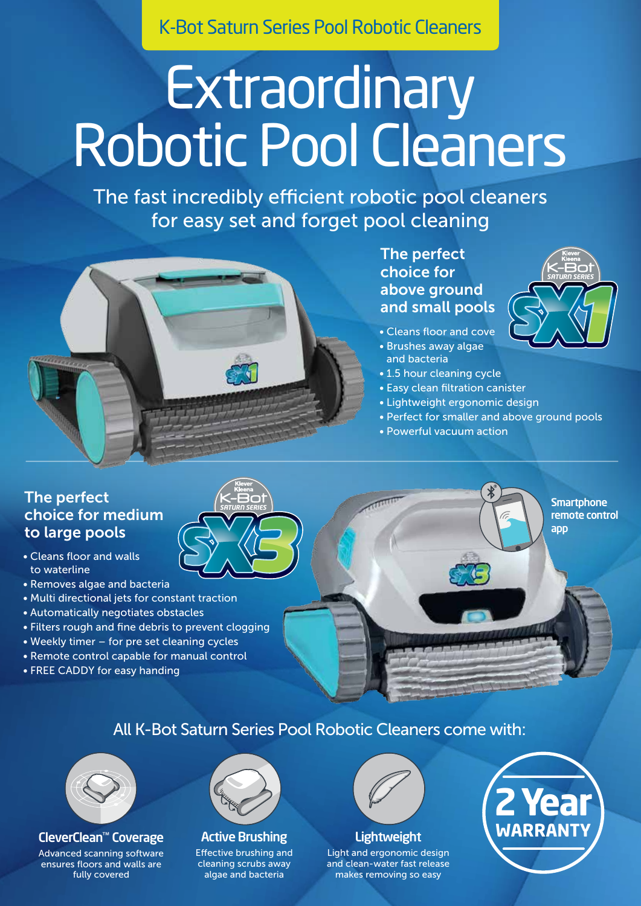K-Bot Saturn Series Pool Robotic Cleaners

# **Extraordinary** Robotic Pool Cleaners

The fast incredibly efficient robotic pool cleaners for easy set and forget pool cleaning



The perfect choice for above ground and small pools

- Cleans floor and cove
- Brushes away algae and bacteria
- 1.5 hour cleaning cycle
- Easy clean filtration canister
- Lightweight ergonomic design
- Perfect for smaller and above ground pools
- Powerful vacuum action

### The perfect choice for medium to large pools

- Cleans floor and walls to waterline
- Removes algae and bacteria
- Multi directional jets for constant traction
- Automatically negotiates obstacles
- Filters rough and fine debris to prevent clogging
- Weekly timer for pre set cleaning cycles
- Remote control capable for manual control
- FREE CADDY for easy handing





**Smartphone** remote control

app

*SATURN SERIES*

All K-Bot Saturn Series Pool Robotic Cleaners come with:



CleverClean™ Coverage Advanced scanning software ensures floors and walls are fully covered



#### Active Brushing

Effective brushing and cleaning scrubs away algae and bacteria



**Lightweight** 

Light and ergonomic design and clean-water fast release makes removing so easy